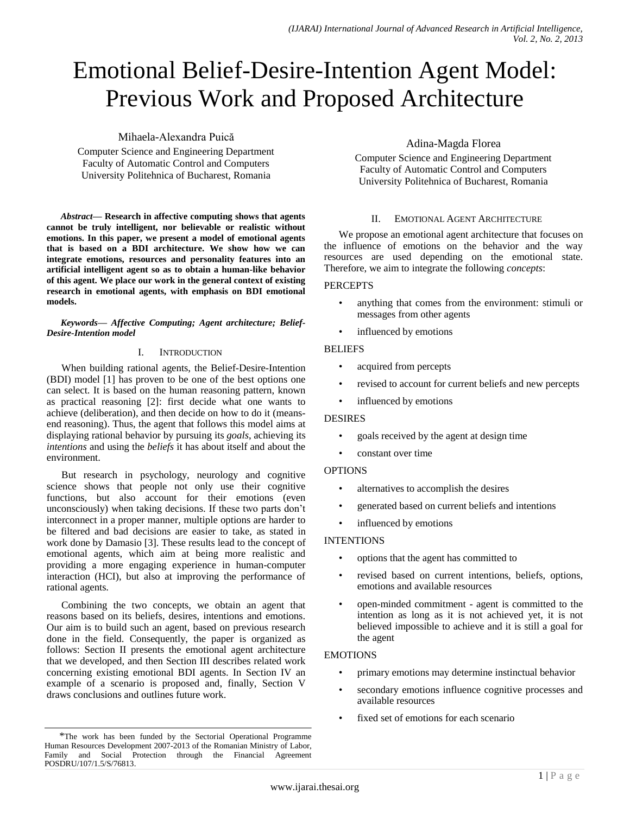# Emotional Belief-Desire-Intention Agent Model: Previous Work and Proposed Architecture

## Mihaela-Alexandra Puică

Computer Science and Engineering Department Faculty of Automatic Control and Computers University Politehnica of Bucharest, Romania

*Abstract***— Research in affective computing shows that agents cannot be truly intelligent, nor believable or realistic without emotions. In this paper, we present a model of emotional agents that is based on a BDI architecture. We show how we can integrate emotions, resources and personality features into an artificial intelligent agent so as to obtain a human-like behavior of this agent. We place our work in the general context of existing research in emotional agents, with emphasis on BDI emotional models.**

*Keywords— Affective Computing; Agent architecture; Belief-Desire-Intention model*

## I. INTRODUCTION

When building rational agents, the Belief-Desire-Intention (BDI) model [1] has proven to be one of the best options one can select. It is based on the human reasoning pattern, known as practical reasoning [2]: first decide what one wants to achieve (deliberation), and then decide on how to do it (meansend reasoning). Thus, the agent that follows this model aims at displaying rational behavior by pursuing its *goals*, achieving its *intentions* and using the *beliefs* it has about itself and about the environment.

But research in psychology, neurology and cognitive science shows that people not only use their cognitive functions, but also account for their emotions (even unconsciously) when taking decisions. If these two parts don't interconnect in a proper manner, multiple options are harder to be filtered and bad decisions are easier to take, as stated in work done by Damasio [3]. These results lead to the concept of emotional agents, which aim at being more realistic and providing a more engaging experience in human-computer interaction (HCI), but also at improving the performance of rational agents.

Combining the two concepts, we obtain an agent that reasons based on its beliefs, desires, intentions and emotions. Our aim is to build such an agent, based on previous research done in the field. Consequently, the paper is organized as follows: Section II presents the emotional agent architecture that we developed, and then Section III describes related work concerning existing emotional BDI agents. In Section IV an example of a scenario is proposed and, finally, Section V draws conclusions and outlines future work.

# Adina-Magda Florea

Computer Science and Engineering Department Faculty of Automatic Control and Computers University Politehnica of Bucharest, Romania

## II. EMOTIONAL AGENT ARCHITECTURE

We propose an emotional agent architecture that focuses on the influence of emotions on the behavior and the way resources are used depending on the emotional state. Therefore, we aim to integrate the following *concepts*:

## **PERCEPTS**

- anything that comes from the environment: stimuli or messages from other agents
- influenced by emotions

## BELIEFS

- acquired from percepts
- revised to account for current beliefs and new percepts
- influenced by emotions

## DESIRES

- goals received by the agent at design time
- constant over time

## **OPTIONS**

- alternatives to accomplish the desires
- generated based on current beliefs and intentions
- influenced by emotions

## INTENTIONS

- options that the agent has committed to
- revised based on current intentions, beliefs, options, emotions and available resources
- open-minded commitment agent is committed to the intention as long as it is not achieved yet, it is not believed impossible to achieve and it is still a goal for the agent

## EMOTIONS

- primary emotions may determine instinctual behavior
- secondary emotions influence cognitive processes and available resources
- fixed set of emotions for each scenario

<sup>\*</sup>The work has been funded by the Sectorial Operational Programme Human Resources Development 2007-2013 of the Romanian Ministry of Labor, Family and Social Protection through the Financial Agreement POSDRU/107/1.5/S/76813.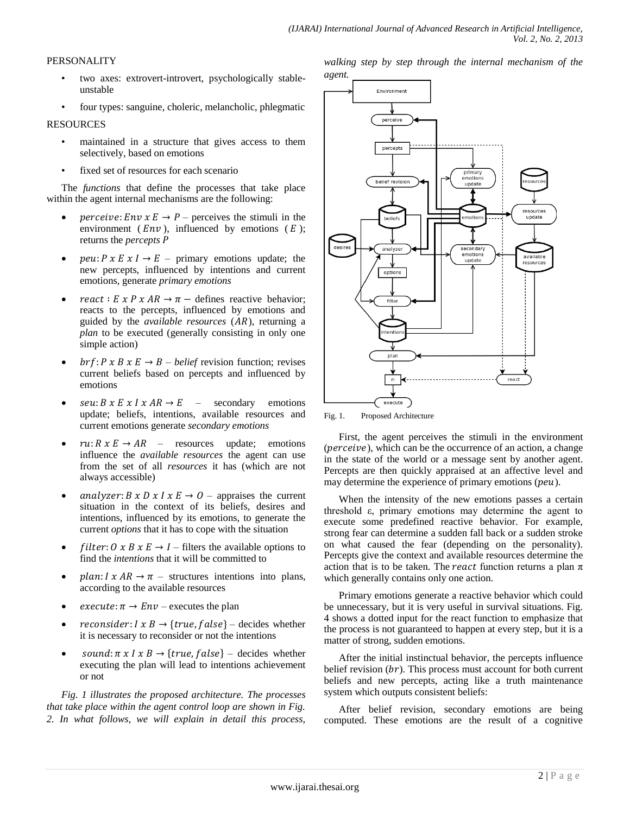## PERSONALITY

- two axes: extrovert-introvert, psychologically stableunstable
- four types: sanguine, choleric, melancholic, phlegmatic

## RESOURCES

- maintained in a structure that gives access to them selectively, based on emotions
- fixed set of resources for each scenario

The *functions* that define the processes that take place within the agent internal mechanisms are the following:

- *perceive:*  $Env \times E \rightarrow P$  perceives the stimuli in the environment ( $Env$ ), influenced by emotions ( $E$ ); returns the *percepts*
- *peu*:  $P \times E \times I \rightarrow E$  primary emotions update; the new percepts, influenced by intentions and current emotions, generate *primary emotions*
- $react: E \times P \times AR \rightarrow \pi$  defines reactive behavior; reacts to the percepts, influenced by emotions and guided by the *available resources* (AR), returning a *plan* to be executed (generally consisting in only one simple action)
- *brf*:  $P \times B \times E \rightarrow B$  *belief* revision function; revises current beliefs based on percepts and influenced by emotions
- $seu: B x E x I x AR \rightarrow E$  secondary emotions update; beliefs, intentions, available resources and current emotions generate *secondary emotions*
- $ru: R \times E \rightarrow AR$  resources update; emotions influence the *available resources* the agent can use from the set of all *resources* it has (which are not always accessible)
- analyzer:  $B \times D \times I \times E \rightarrow O$  appraises the current situation in the context of its beliefs, desires and intentions, influenced by its emotions, to generate the current *options* that it has to cope with the situation
- *filter:*  $0 \times B \times E \rightarrow I$  filters the available options to find the *intentions* that it will be committed to
- plan:  $I \times AR \rightarrow \pi$  structures intentions into plans, according to the available resources
- $execute: \pi \rightarrow Env executes$  the plan
- reconsider:  $I \times B \rightarrow \{ true, false \}$  decides whether it is necessary to reconsider or not the intentions
- sound:  $\pi$  x I x B  $\rightarrow$  {true, f alse} decides whether executing the plan will lead to intentions achievement or not

*Fig. 1 illustrates the proposed architecture. The processes that take place within the agent control loop are shown in Fig. 2. In what follows, we will explain in detail this process,* 

*walking step by step through the internal mechanism of the agent.*



Fig. 1. Proposed Architecture

First, the agent perceives the stimuli in the environment  $(perceive)$ , which can be the occurrence of an action, a change in the state of the world or a message sent by another agent. Percepts are then quickly appraised at an affective level and may determine the experience of primary emotions  $(peu)$ .

When the intensity of the new emotions passes a certain threshold ε, primary emotions may determine the agent to execute some predefined reactive behavior. For example, strong fear can determine a sudden fall back or a sudden stroke on what caused the fear (depending on the personality). Percepts give the context and available resources determine the action that is to be taken. The react function returns a plan  $\pi$ which generally contains only one action.

Primary emotions generate a reactive behavior which could be unnecessary, but it is very useful in survival situations. Fig. 4 shows a dotted input for the react function to emphasize that the process is not guaranteed to happen at every step, but it is a matter of strong, sudden emotions.

After the initial instinctual behavior, the percepts influence belief revision  $(br)$ . This process must account for both current beliefs and new percepts, acting like a truth maintenance system which outputs consistent beliefs:

After belief revision, secondary emotions are being computed. These emotions are the result of a cognitive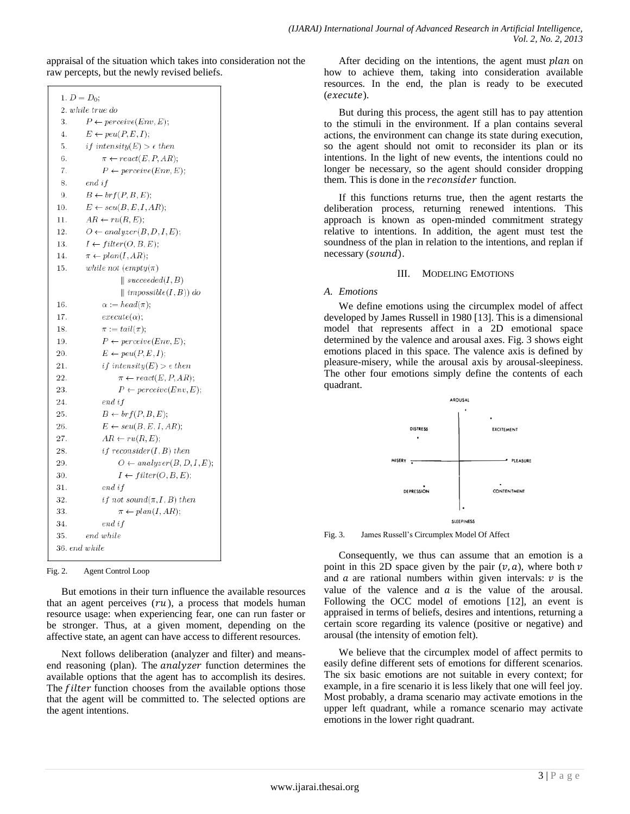appraisal of the situation which takes into consideration not the raw percepts, but the newly revised beliefs.

| 1. $D = D_0$ ;   |                                           |  |  |
|------------------|-------------------------------------------|--|--|
| 2. while true do |                                           |  |  |
| 3.               | $P \leftarrow \text{perceive}(Env, E);$   |  |  |
| 4.               | $E \leftarrow peu(P, E, I);$              |  |  |
| 5.               | <i>if intensity</i> $(E) > \epsilon$ then |  |  |
| 6.               | $\pi \leftarrow react(E, P, AR);$         |  |  |
| 7.               | $P \leftarrow \text{perceive}(Env, E);$   |  |  |
| 8.               | end if                                    |  |  |
| 9.               | $B \leftarrow brf(P, B, E);$              |  |  |
| 10.              | $E \leftarrow seu(B, E, I, AR);$          |  |  |
| 11.              | $AR \leftarrow ru(R, E);$                 |  |  |
| 12.              | $O \leftarrow$ analyzer $(B, D, I, E)$ ;  |  |  |
| 13.              | $I \leftarrow filter(O, B, E);$           |  |  |
| 14.              | $\pi \leftarrow plan(I,AR);$              |  |  |
| 15.              | while not $\text{empty}(\pi)$             |  |  |
|                  | $\parallel succeeded(I, B)$               |  |  |
|                  | $\parallel \text{impossible}(I,B))$ do    |  |  |
| 16.              | $\alpha := head(\pi);$                    |  |  |
| 17.              | $execute(\alpha);$                        |  |  |
| 18.              | $\pi := tail(\pi);$                       |  |  |
| 19.              | $P \leftarrow \text{perceive}(Env, E);$   |  |  |
| 20.              | $E \leftarrow peu(P, E, I);$              |  |  |
| 21.              | <i>if intensity</i> $(E) > \epsilon$ then |  |  |
| 22.              | $\pi \leftarrow react(E, P, AR);$         |  |  |
| 23.              | $P \leftarrow \text{perceive}(Env, E);$   |  |  |
| 24.              | $end$ if                                  |  |  |
| 25.              | $B \leftarrow brf(P, B, E);$              |  |  |
| 26.              | $E \leftarrow seu(B, E, I, AR);$          |  |  |
| 27.              | $AR \leftarrow ru(R, E);$                 |  |  |
| 28.              | if reconsider $(I, B)$ then               |  |  |
| 29.              | $O \leftarrow$ analyzer(B, D, I, E);      |  |  |
| 30.              | $I \leftarrow filter(O, B, E);$           |  |  |
| 31.              | $end$ if                                  |  |  |
| 32.              | <i>if not sound</i> $(\pi, I, B)$ then    |  |  |
| 33.              | $\pi \leftarrow plan(I, AR);$             |  |  |
| 34.              | end i f                                   |  |  |
| 35.              | end while                                 |  |  |
| 36. end while    |                                           |  |  |

Fig. 2. Agent Control Loop

But emotions in their turn influence the available resources that an agent perceives  $(ru)$ , a process that models human resource usage: when experiencing fear, one can run faster or be stronger. Thus, at a given moment, depending on the affective state, an agent can have access to different resources.

Next follows deliberation (analyzer and filter) and meansend reasoning (plan). The *analyzer* function determines the available options that the agent has to accomplish its desires. The *filter* function chooses from the available options those that the agent will be committed to. The selected options are the agent intentions.

After deciding on the intentions, the agent must  $plan$  on how to achieve them, taking into consideration available resources. In the end, the plan is ready to be executed  $(execute).$ 

But during this process, the agent still has to pay attention to the stimuli in the environment. If a plan contains several actions, the environment can change its state during execution, so the agent should not omit to reconsider its plan or its intentions. In the light of new events, the intentions could no longer be necessary, so the agent should consider dropping them. This is done in the *reconsider* function.

If this functions returns true, then the agent restarts the deliberation process, returning renewed intentions. This approach is known as open-minded commitment strategy relative to intentions. In addition, the agent must test the soundness of the plan in relation to the intentions, and replan if necessary (sound).

## III. MODELING EMOTIONS

## *A. Emotions*

We define emotions using the circumplex model of affect developed by James Russell in 1980 [13]. This is a dimensional model that represents affect in a 2D emotional space determined by the valence and arousal axes. Fig. 3 shows eight emotions placed in this space. The valence axis is defined by pleasure-misery, while the arousal axis by arousal-sleepiness. The other four emotions simply define the contents of each quadrant.



Fig. 3. James Russell's Circumplex Model Of Affect

Consequently, we thus can assume that an emotion is a point in this 2D space given by the pair  $(v, a)$ , where both v and  $\alpha$  are rational numbers within given intervals:  $\nu$  is the value of the valence and  $a$  is the value of the arousal. Following the OCC model of emotions [12], an event is appraised in terms of beliefs, desires and intentions, returning a certain score regarding its valence (positive or negative) and arousal (the intensity of emotion felt).

We believe that the circumplex model of affect permits to easily define different sets of emotions for different scenarios. The six basic emotions are not suitable in every context; for example, in a fire scenario it is less likely that one will feel joy. Most probably, a drama scenario may activate emotions in the upper left quadrant, while a romance scenario may activate emotions in the lower right quadrant.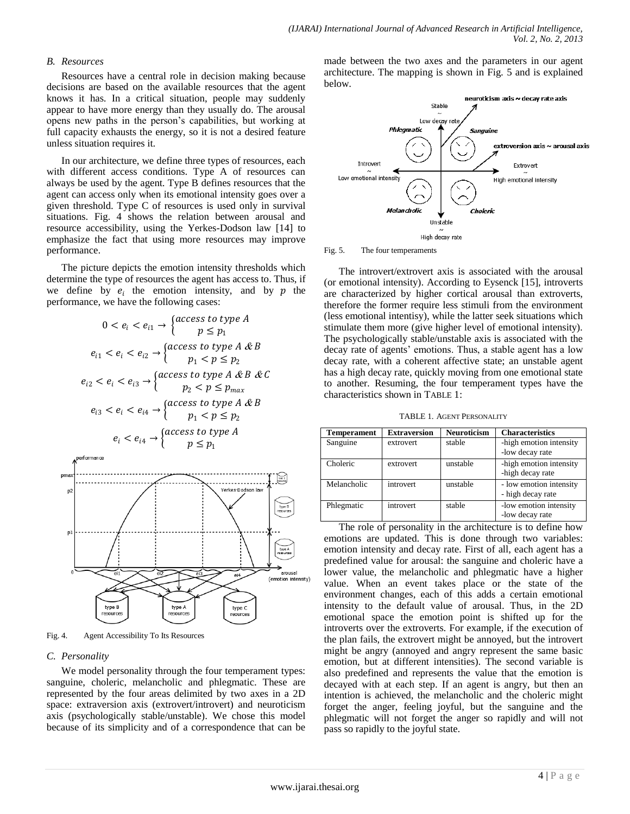#### *B. Resources*

Resources have a central role in decision making because decisions are based on the available resources that the agent knows it has. In a critical situation, people may suddenly appear to have more energy than they usually do. The arousal opens new paths in the person's capabilities, but working at full capacity exhausts the energy, so it is not a desired feature unless situation requires it.

In our architecture, we define three types of resources, each with different access conditions. Type A of resources can always be used by the agent. Type B defines resources that the agent can access only when its emotional intensity goes over a given threshold. Type C of resources is used only in survival situations. Fig. 4 shows the relation between arousal and resource accessibility, using the Yerkes-Dodson law [14] to emphasize the fact that using more resources may improve performance.

The picture depicts the emotion intensity thresholds which determine the type of resources the agent has access to. Thus, if we define by  $e_i$  the emotion intensity, and by  $p$  the performance, we have the following cases:

$$
0 < e_i < e_{i1} \rightarrow \begin{cases} \text{access to type } A \\ p \leq p_1 \end{cases}
$$
\n
$$
e_{i1} < e_i < e_{i2} \rightarrow \begin{cases} \text{access to type } A \& B \\ p_1 < p \leq p_2 \end{cases}
$$
\n
$$
e_{i2} < e_i < e_{i3} \rightarrow \begin{cases} \text{access to type } A \& B \& C \\ p_2 < p \leq p_{max} \end{cases}
$$
\n
$$
e_{i3} < e_i < e_{i4} \rightarrow \begin{cases} \text{access to type } A \& B \\ p_1 < p \leq p_2 \end{cases}
$$
\n
$$
e_i < e_{i4} \rightarrow \begin{cases} \text{access to type } A \\ p_1 < p \leq p_1 \end{cases}
$$



Fig. 4. Agent Accessibility To Its Resources

## *C. Personality*

We model personality through the four temperament types: sanguine, choleric, melancholic and phlegmatic. These are represented by the four areas delimited by two axes in a 2D space: extraversion axis (extrovert/introvert) and neuroticism axis (psychologically stable/unstable). We chose this model because of its simplicity and of a correspondence that can be made between the two axes and the parameters in our agent architecture. The mapping is shown in Fig. 5 and is explained below.



Fig. 5. The four temperaments

The introvert/extrovert axis is associated with the arousal (or emotional intensity). According to Eysenck [15], introverts are characterized by higher cortical arousal than extroverts, therefore the former require less stimuli from the environment (less emotional intentisy), while the latter seek situations which stimulate them more (give higher level of emotional intensity). The psychologically stable/unstable axis is associated with the decay rate of agents' emotions. Thus, a stable agent has a low decay rate, with a coherent affective state; an unstable agent has a high decay rate, quickly moving from one emotional state to another. Resuming, the four temperament types have the characteristics shown in TABLE 1:

TABLE 1. AGENT PERSONALITY

| <b>Temperament</b> | <b>Extraversion</b> | <b>Neuroticism</b> | <b>Characteristics</b>                       |  |
|--------------------|---------------------|--------------------|----------------------------------------------|--|
| Sanguine           | extrovert           | stable             | -high emotion intensity<br>-low decay rate   |  |
| Choleric           | extrovert           | unstable           | -high emotion intensity<br>-high decay rate  |  |
| Melancholic        | introvert           | unstable           | - low emotion intensity<br>- high decay rate |  |
| Phlegmatic         | introvert           | stable             | -low emotion intensity<br>-low decay rate    |  |

The role of personality in the architecture is to define how emotions are updated. This is done through two variables: emotion intensity and decay rate. First of all, each agent has a predefined value for arousal: the sanguine and choleric have a lower value, the melancholic and phlegmatic have a higher value. When an event takes place or the state of the environment changes, each of this adds a certain emotional intensity to the default value of arousal. Thus, in the 2D emotional space the emotion point is shifted up for the introverts over the extroverts. For example, if the execution of the plan fails, the extrovert might be annoyed, but the introvert might be angry (annoyed and angry represent the same basic emotion, but at different intensities). The second variable is also predefined and represents the value that the emotion is decayed with at each step. If an agent is angry, but then an intention is achieved, the melancholic and the choleric might forget the anger, feeling joyful, but the sanguine and the phlegmatic will not forget the anger so rapidly and will not pass so rapidly to the joyful state.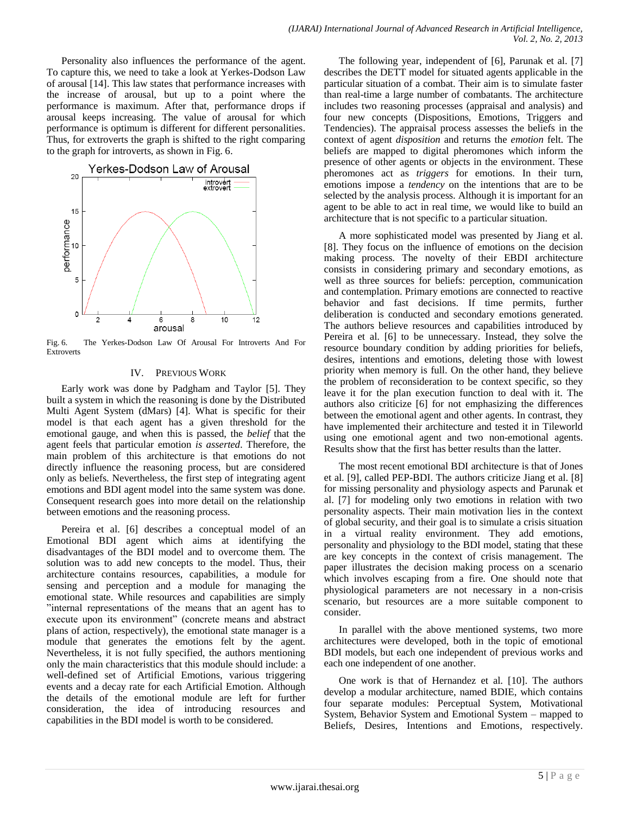Personality also influences the performance of the agent. To capture this, we need to take a look at Yerkes-Dodson Law of arousal [14]. This law states that performance increases with the increase of arousal, but up to a point where the performance is maximum. After that, performance drops if arousal keeps increasing. The value of arousal for which performance is optimum is different for different personalities. Thus, for extroverts the graph is shifted to the right comparing to the graph for introverts, as shown in Fig. 6.



Fig. 6. The Yerkes-Dodson Law Of Arousal For Introverts And For Extroverts

## IV. PREVIOUS WORK

Early work was done by Padgham and Taylor [5]. They built a system in which the reasoning is done by the Distributed Multi Agent System (dMars) [4]. What is specific for their model is that each agent has a given threshold for the emotional gauge, and when this is passed, the *belief* that the agent feels that particular emotion *is asserted*. Therefore, the main problem of this architecture is that emotions do not directly influence the reasoning process, but are considered only as beliefs. Nevertheless, the first step of integrating agent emotions and BDI agent model into the same system was done. Consequent research goes into more detail on the relationship between emotions and the reasoning process.

Pereira et al. [6] describes a conceptual model of an Emotional BDI agent which aims at identifying the disadvantages of the BDI model and to overcome them. The solution was to add new concepts to the model. Thus, their architecture contains resources, capabilities, a module for sensing and perception and a module for managing the emotional state. While resources and capabilities are simply "internal representations of the means that an agent has to execute upon its environment" (concrete means and abstract plans of action, respectively), the emotional state manager is a module that generates the emotions felt by the agent. Nevertheless, it is not fully specified, the authors mentioning only the main characteristics that this module should include: a well-defined set of Artificial Emotions, various triggering events and a decay rate for each Artificial Emotion. Although the details of the emotional module are left for further consideration, the idea of introducing resources and capabilities in the BDI model is worth to be considered.

The following year, independent of [6], Parunak et al. [7] describes the DETT model for situated agents applicable in the particular situation of a combat. Their aim is to simulate faster than real-time a large number of combatants. The architecture includes two reasoning processes (appraisal and analysis) and four new concepts (Dispositions, Emotions, Triggers and Tendencies). The appraisal process assesses the beliefs in the context of agent *disposition* and returns the *emotion* felt. The beliefs are mapped to digital pheromones which inform the presence of other agents or objects in the environment. These pheromones act as *triggers* for emotions. In their turn, emotions impose a *tendency* on the intentions that are to be selected by the analysis process. Although it is important for an agent to be able to act in real time, we would like to build an architecture that is not specific to a particular situation.

A more sophisticated model was presented by Jiang et al. [8]. They focus on the influence of emotions on the decision making process. The novelty of their EBDI architecture consists in considering primary and secondary emotions, as well as three sources for beliefs: perception, communication and contemplation. Primary emotions are connected to reactive behavior and fast decisions. If time permits, further deliberation is conducted and secondary emotions generated. The authors believe resources and capabilities introduced by Pereira et al. [6] to be unnecessary. Instead, they solve the resource boundary condition by adding priorities for beliefs, desires, intentions and emotions, deleting those with lowest priority when memory is full. On the other hand, they believe the problem of reconsideration to be context specific, so they leave it for the plan execution function to deal with it. The authors also criticize [6] for not emphasizing the differences between the emotional agent and other agents. In contrast, they have implemented their architecture and tested it in Tileworld using one emotional agent and two non-emotional agents. Results show that the first has better results than the latter.

The most recent emotional BDI architecture is that of Jones et al. [9], called PEP-BDI. The authors criticize Jiang et al. [8] for missing personality and physiology aspects and Parunak et al. [7] for modeling only two emotions in relation with two personality aspects. Their main motivation lies in the context of global security, and their goal is to simulate a crisis situation in a virtual reality environment. They add emotions, personality and physiology to the BDI model, stating that these are key concepts in the context of crisis management. The paper illustrates the decision making process on a scenario which involves escaping from a fire. One should note that physiological parameters are not necessary in a non-crisis scenario, but resources are a more suitable component to consider.

In parallel with the above mentioned systems, two more architectures were developed, both in the topic of emotional BDI models, but each one independent of previous works and each one independent of one another.

One work is that of Hernandez et al. [10]. The authors develop a modular architecture, named BDIE, which contains four separate modules: Perceptual System, Motivational System, Behavior System and Emotional System – mapped to Beliefs, Desires, Intentions and Emotions, respectively.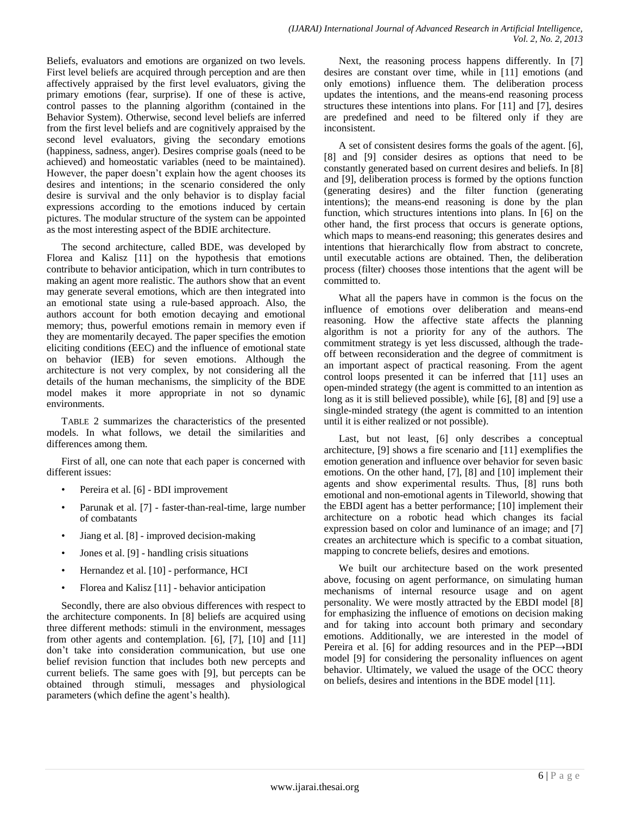Beliefs, evaluators and emotions are organized on two levels. First level beliefs are acquired through perception and are then affectively appraised by the first level evaluators, giving the primary emotions (fear, surprise). If one of these is active, control passes to the planning algorithm (contained in the Behavior System). Otherwise, second level beliefs are inferred from the first level beliefs and are cognitively appraised by the second level evaluators, giving the secondary emotions (happiness, sadness, anger). Desires comprise goals (need to be achieved) and homeostatic variables (need to be maintained). However, the paper doesn't explain how the agent chooses its desires and intentions; in the scenario considered the only desire is survival and the only behavior is to display facial expressions according to the emotions induced by certain pictures. The modular structure of the system can be appointed as the most interesting aspect of the BDIE architecture.

The second architecture, called BDE, was developed by Florea and Kalisz [11] on the hypothesis that emotions contribute to behavior anticipation, which in turn contributes to making an agent more realistic. The authors show that an event may generate several emotions, which are then integrated into an emotional state using a rule-based approach. Also, the authors account for both emotion decaying and emotional memory; thus, powerful emotions remain in memory even if they are momentarily decayed. The paper specifies the emotion eliciting conditions (EEC) and the influence of emotional state on behavior (IEB) for seven emotions. Although the architecture is not very complex, by not considering all the details of the human mechanisms, the simplicity of the BDE model makes it more appropriate in not so dynamic environments.

TABLE 2 summarizes the characteristics of the presented models. In what follows, we detail the similarities and differences among them.

First of all, one can note that each paper is concerned with different issues:

- Pereira et al. [6] BDI improvement
- Parunak et al. [7] faster-than-real-time, large number of combatants
- Jiang et al. [8] improved decision-making
- Jones et al. [9] handling crisis situations
- Hernandez et al. [10] performance, HCI
- Florea and Kalisz [11] behavior anticipation

Secondly, there are also obvious differences with respect to the architecture components. In [8] beliefs are acquired using three different methods: stimuli in the environment, messages from other agents and contemplation. [6], [7], [10] and [11] don't take into consideration communication, but use one belief revision function that includes both new percepts and current beliefs. The same goes with [9], but percepts can be obtained through stimuli, messages and physiological parameters (which define the agent's health).

Next, the reasoning process happens differently. In [7] desires are constant over time, while in [11] emotions (and only emotions) influence them. The deliberation process updates the intentions, and the means-end reasoning process structures these intentions into plans. For [11] and [7], desires are predefined and need to be filtered only if they are inconsistent.

A set of consistent desires forms the goals of the agent. [6], [8] and [9] consider desires as options that need to be constantly generated based on current desires and beliefs. In [8] and [9], deliberation process is formed by the options function (generating desires) and the filter function (generating intentions); the means-end reasoning is done by the plan function, which structures intentions into plans. In [6] on the other hand, the first process that occurs is generate options, which maps to means-end reasoning; this generates desires and intentions that hierarchically flow from abstract to concrete, until executable actions are obtained. Then, the deliberation process (filter) chooses those intentions that the agent will be committed to.

What all the papers have in common is the focus on the influence of emotions over deliberation and means-end reasoning. How the affective state affects the planning algorithm is not a priority for any of the authors. The commitment strategy is yet less discussed, although the tradeoff between reconsideration and the degree of commitment is an important aspect of practical reasoning. From the agent control loops presented it can be inferred that [11] uses an open-minded strategy (the agent is committed to an intention as long as it is still believed possible), while [6], [8] and [9] use a single-minded strategy (the agent is committed to an intention until it is either realized or not possible).

Last, but not least, [6] only describes a conceptual architecture, [9] shows a fire scenario and [11] exemplifies the emotion generation and influence over behavior for seven basic emotions. On the other hand, [7], [8] and [10] implement their agents and show experimental results. Thus, [8] runs both emotional and non-emotional agents in Tileworld, showing that the EBDI agent has a better performance; [10] implement their architecture on a robotic head which changes its facial expression based on color and luminance of an image; and [7] creates an architecture which is specific to a combat situation, mapping to concrete beliefs, desires and emotions.

We built our architecture based on the work presented above, focusing on agent performance, on simulating human mechanisms of internal resource usage and on agent personality. We were mostly attracted by the EBDI model [8] for emphasizing the influence of emotions on decision making and for taking into account both primary and secondary emotions. Additionally, we are interested in the model of Pereira et al. [6] for adding resources and in the PEP→BDI model [9] for considering the personality influences on agent behavior. Ultimately, we valued the usage of the OCC theory on beliefs, desires and intentions in the BDE model [11].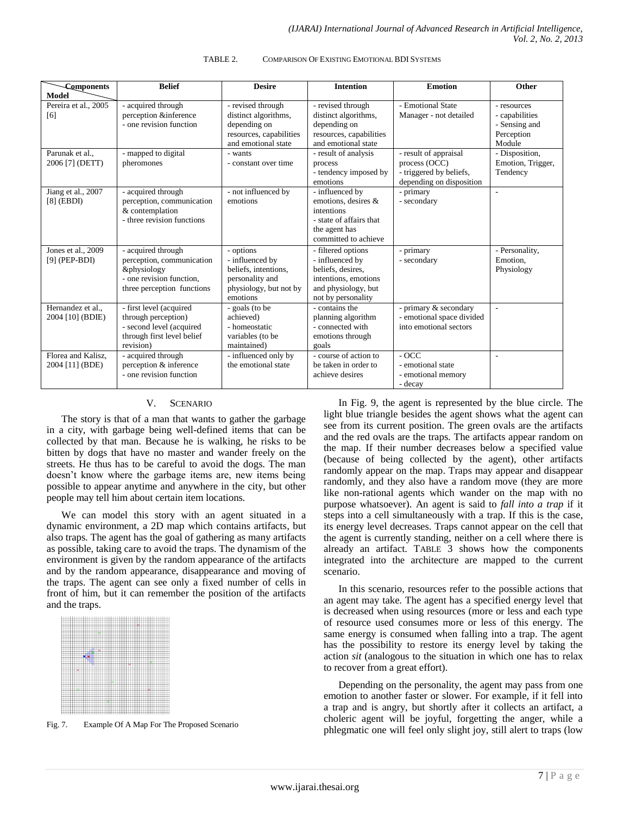| <b>Components</b>                     | <b>Belief</b>                                                                                                            | <b>Desire</b>                                                                                                 | <b>Intention</b>                                                                                                                | <b>Emotion</b>                                                                                | Other                                                                  |
|---------------------------------------|--------------------------------------------------------------------------------------------------------------------------|---------------------------------------------------------------------------------------------------------------|---------------------------------------------------------------------------------------------------------------------------------|-----------------------------------------------------------------------------------------------|------------------------------------------------------------------------|
| <b>Model</b>                          |                                                                                                                          |                                                                                                               |                                                                                                                                 |                                                                                               |                                                                        |
| Pereira et al., 2005<br>[6]           | - acquired through<br>perception &inference<br>- one revision function                                                   | - revised through<br>distinct algorithms,<br>depending on<br>resources, capabilities<br>and emotional state   | - revised through<br>distinct algorithms,<br>depending on<br>resources, capabilities<br>and emotional state                     | - Emotional State<br>Manager - not detailed                                                   | - resources<br>- capabilities<br>- Sensing and<br>Perception<br>Module |
| Parunak et al.,<br>2006 [7] (DETT)    | - mapped to digital<br>pheromones                                                                                        | - wants<br>- constant over time                                                                               | - result of analysis<br>process<br>- tendency imposed by<br>emotions                                                            | - result of appraisal<br>process (OCC)<br>- triggered by beliefs.<br>depending on disposition | - Disposition,<br>Emotion, Trigger,<br>Tendency                        |
| Jiang et al., 2007<br>$[8]$ (EBDI)    | - acquired through<br>perception, communication<br>& contemplation<br>- three revision functions                         | - not influenced by<br>emotions                                                                               | - influenced by<br>emotions, desires &<br>intentions<br>- state of affairs that<br>the agent has<br>committed to achieve        | - primary<br>- secondary                                                                      |                                                                        |
| Jones et al., 2009<br>$[9]$ (PEP-BDI) | - acquired through<br>perception, communication<br>&physiology<br>- one revision function.<br>three perception functions | - options<br>- influenced by<br>beliefs, intentions,<br>personality and<br>physiology, but not by<br>emotions | - filtered options<br>- influenced by<br>beliefs, desires,<br>intentions, emotions<br>and physiology, but<br>not by personality | - primary<br>- secondary                                                                      | - Personality,<br>Emotion.<br>Physiology                               |
| Hernandez et al.,<br>2004 [10] (BDIE) | - first level (acquired<br>through perception)<br>- second level (acquired<br>through first level belief<br>revision)    | - goals (to be<br>achieved)<br>- homeostatic<br>variables (to be<br>maintained)                               | - contains the<br>planning algorithm<br>- connected with<br>emotions through<br>goals                                           | - primary & secondary<br>- emotional space divided<br>into emotional sectors                  | $\sim$                                                                 |
| Florea and Kalisz,<br>2004 [11] (BDE) | - acquired through<br>perception & inference<br>- one revision function                                                  | - influenced only by<br>the emotional state                                                                   | - course of action to<br>be taken in order to<br>achieve desires                                                                | $-OCC$<br>- emotional state<br>- emotional memory<br>- decay                                  | ٠                                                                      |

#### TABLE 2. COMPARISON OF EXISTING EMOTIONAL BDI SYSTEMS

#### V. SCENARIO

The story is that of a man that wants to gather the garbage in a city, with garbage being well-defined items that can be collected by that man. Because he is walking, he risks to be bitten by dogs that have no master and wander freely on the streets. He thus has to be careful to avoid the dogs. The man doesn't know where the garbage items are, new items being possible to appear anytime and anywhere in the city, but other people may tell him about certain item locations.

We can model this story with an agent situated in a dynamic environment, a 2D map which contains artifacts, but also traps. The agent has the goal of gathering as many artifacts as possible, taking care to avoid the traps. The dynamism of the environment is given by the random appearance of the artifacts and by the random appearance, disappearance and moving of the traps. The agent can see only a fixed number of cells in front of him, but it can remember the position of the artifacts and the traps.



Fig. 7. Example Of A Map For The Proposed Scenario

In Fig. 9, the agent is represented by the blue circle. The light blue triangle besides the agent shows what the agent can see from its current position. The green ovals are the artifacts and the red ovals are the traps. The artifacts appear random on the map. If their number decreases below a specified value (because of being collected by the agent), other artifacts randomly appear on the map. Traps may appear and disappear randomly, and they also have a random move (they are more like non-rational agents which wander on the map with no purpose whatsoever). An agent is said to *fall into a trap* if it steps into a cell simultaneously with a trap. If this is the case, its energy level decreases. Traps cannot appear on the cell that the agent is currently standing, neither on a cell where there is already an artifact. TABLE 3 shows how the components integrated into the architecture are mapped to the current scenario.

In this scenario, resources refer to the possible actions that an agent may take. The agent has a specified energy level that is decreased when using resources (more or less and each type of resource used consumes more or less of this energy. The same energy is consumed when falling into a trap. The agent has the possibility to restore its energy level by taking the action *sit* (analogous to the situation in which one has to relax to recover from a great effort).

Depending on the personality, the agent may pass from one emotion to another faster or slower. For example, if it fell into a trap and is angry, but shortly after it collects an artifact, a choleric agent will be joyful, forgetting the anger, while a phlegmatic one will feel only slight joy, still alert to traps (low